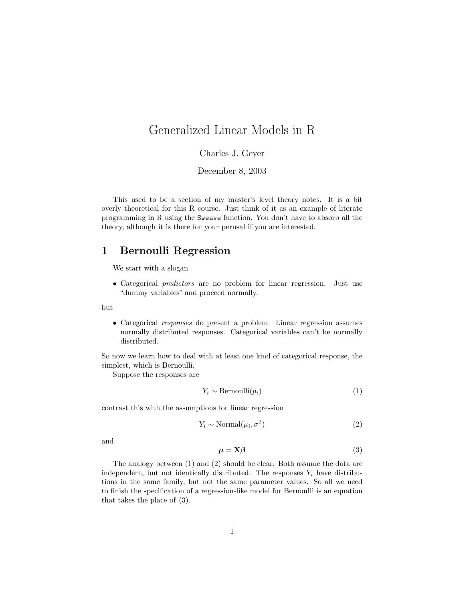# Generalized Linear Models in R

Charles J. Geyer

December 8, 2003

This used to be a section of my master's level theory notes. It is a bit overly theoretical for this R course. Just think of it as an example of literate programming in R using the Sweave function. You don't have to absorb all the theory, although it is there for your perusal if you are interested.

# 1 Bernoulli Regression

We start with a slogan

• Categorical predictors are no problem for linear regression. Just use "dummy variables" and proceed normally.

but

• Categorical responses do present a problem. Linear regression assumes normally distributed responses. Categorical variables can't be normally distributed.

So now we learn how to deal with at least one kind of categorical response, the simplest, which is Bernoulli.

Suppose the responses are

$$
Y_i \sim \text{Bernoulli}(p_i) \tag{1}
$$

contrast this with the assumptions for linear regression

$$
Y_i \sim \text{Normal}(\mu_i, \sigma^2) \tag{2}
$$

and

$$
\mu = \mathbf{X}\boldsymbol{\beta} \tag{3}
$$

The analogy between (1) and (2) should be clear. Both assume the data are independent, but not identically distributed. The responses  $Y_i$  have distributions in the same family, but not the same parameter values. So all we need to finish the specification of a regression-like model for Bernoulli is an equation that takes the place of (3).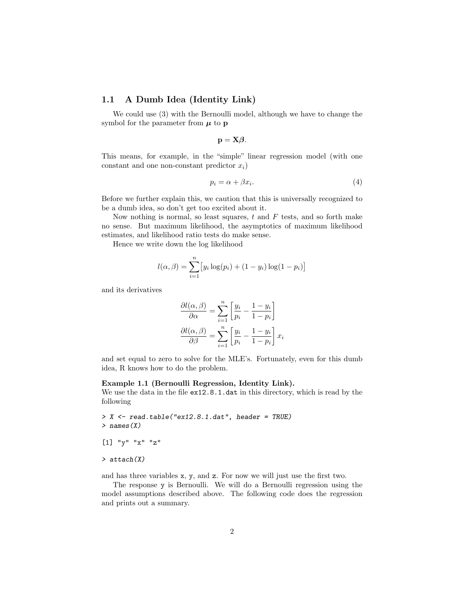# 1.1 A Dumb Idea (Identity Link)

We could use (3) with the Bernoulli model, although we have to change the symbol for the parameter from  $\mu$  to p

$$
\mathbf{p}=\mathbf{X}\boldsymbol{\beta}.
$$

This means, for example, in the "simple" linear regression model (with one constant and one non-constant predictor  $x_i$ )

$$
p_i = \alpha + \beta x_i. \tag{4}
$$

Before we further explain this, we caution that this is universally recognized to be a dumb idea, so don't get too excited about it.

Now nothing is normal, so least squares,  $t$  and  $F$  tests, and so forth make no sense. But maximum likelihood, the asymptotics of maximum likelihood estimates, and likelihood ratio tests do make sense.

Hence we write down the log likelihood

$$
l(\alpha, \beta) = \sum_{i=1}^{n} [y_i \log(p_i) + (1 - y_i) \log(1 - p_i)]
$$

and its derivatives

$$
\frac{\partial l(\alpha, \beta)}{\partial \alpha} = \sum_{i=1}^{n} \left[ \frac{y_i}{p_i} - \frac{1 - y_i}{1 - p_i} \right]
$$

$$
\frac{\partial l(\alpha, \beta)}{\partial \beta} = \sum_{i=1}^{n} \left[ \frac{y_i}{p_i} - \frac{1 - y_i}{1 - p_i} \right] x_i
$$

and set equal to zero to solve for the MLE's. Fortunately, even for this dumb idea, R knows how to do the problem.

### Example 1.1 (Bernoulli Regression, Identity Link).

We use the data in the file ex12.8.1.dat in this directory, which is read by the following

```
> X <- read.table("ex12.8.1.dat", header = TRUE)
> names(X)
[1] "y" "x" "z"
> attach(X)
```
and has three variables x, y, and z. For now we will just use the first two.

The response y is Bernoulli. We will do a Bernoulli regression using the model assumptions described above. The following code does the regression and prints out a summary.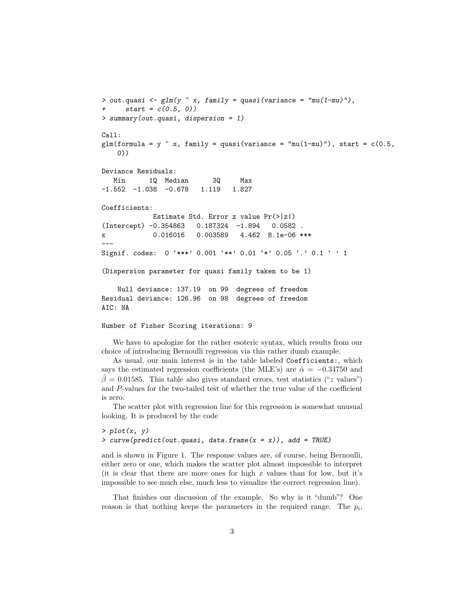```
> out.quasi <- glm(y \text{ x}, fanily = quasi(variance = "mu(1-mu)");start = c(0.5, 0)> summary(out.quasi, dispersion = 1)
Call:
glm(formula = y \tilde{ } x, family = quasi(variance = "mu(1-mu)"), start = c(0.5,
   0))
Deviance Residuals:
  Min 1Q Median 3Q Max
-1.552 -1.038 -0.678 1.119 1.827
Coefficients:
            Estimate Std. Error z value Pr(>|z|)
(Intercept) -0.354863 0.187324 -1.894 0.0582 .
x 0.016016 0.003589 4.462 8.1e-06 ***
---
Signif. codes: 0 '***' 0.001 '**' 0.01 '*' 0.05 '.' 0.1 ' ' 1
(Dispersion parameter for quasi family taken to be 1)
   Null deviance: 137.19 on 99 degrees of freedom
Residual deviance: 126.96 on 98 degrees of freedom
AIC: NA
Number of Fisher Scoring iterations: 9
```
We have to apologize for the rather esoteric syntax, which results from our choice of introducing Bernoulli regression via this rather dumb example.

As usual, our main interest is in the table labeled Coefficients:, which says the estimated regression coefficients (the MLE's) are  $\hat{\alpha} = -0.34750$  and  $\beta = 0.01585$ . This table also gives standard errors, test statistics ("z values") and P-values for the two-tailed test of whether the true value of the coefficient is zero.

The scatter plot with regression line for this regression is somewhat unusual looking. It is produced by the code

```
> plot(x, y)> curve(predict(out.quasi, data.frame(x = x)), add = TRUE)
```
and is shown in Figure 1. The response values are, of course, being Bernoulli, either zero or one, which makes the scatter plot almost impossible to interpret (it is clear that there are more ones for high  $x$  values than for low, but it's impossible to see much else, much less to visualize the correct regression line).

That finishes our discussion of the example. So why is it "dumb"? One reason is that nothing keeps the parameters in the required range. The  $p_i$ ,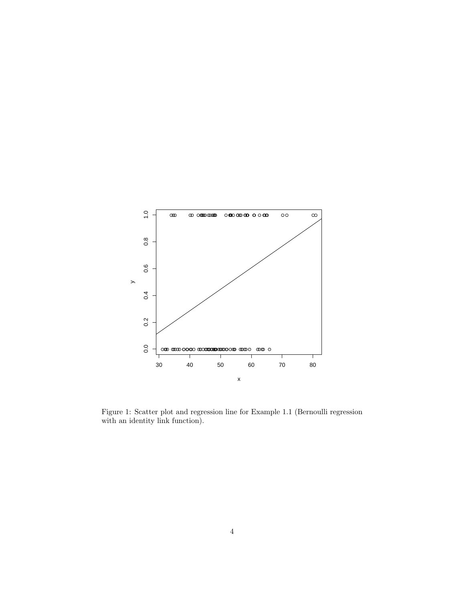

Figure 1: Scatter plot and regression line for Example 1.1 (Bernoulli regression with an identity link function).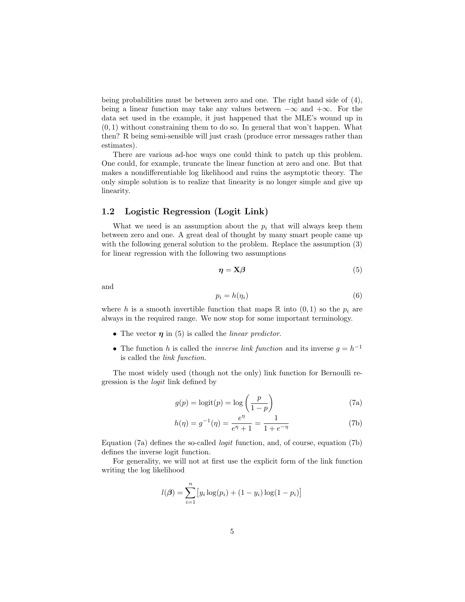being probabilities must be between zero and one. The right hand side of (4), being a linear function may take any values between  $-\infty$  and  $+\infty$ . For the data set used in the example, it just happened that the MLE's wound up in  $(0, 1)$  without constraining them to do so. In general that won't happen. What then? R being semi-sensible will just crash (produce error messages rather than estimates).

There are various ad-hoc ways one could think to patch up this problem. One could, for example, truncate the linear function at zero and one. But that makes a nondifferentiable log likelihood and ruins the asymptotic theory. The only simple solution is to realize that linearity is no longer simple and give up linearity.

# 1.2 Logistic Regression (Logit Link)

What we need is an assumption about the  $p_i$  that will always keep them between zero and one. A great deal of thought by many smart people came up with the following general solution to the problem. Replace the assumption (3) for linear regression with the following two assumptions

$$
\eta = \mathbf{X}\boldsymbol{\beta} \tag{5}
$$

and

$$
p_i = h(\eta_i) \tag{6}
$$

where h is a smooth invertible function that maps  $\mathbb R$  into  $(0, 1)$  so the  $p_i$  are always in the required range. We now stop for some important terminology.

- The vector  $\eta$  in (5) is called the *linear predictor*.
- The function h is called the *inverse link function* and its inverse  $g = h^{-1}$ is called the link function.

The most widely used (though not the only) link function for Bernoulli regression is the logit link defined by

$$
g(p) = \text{logit}(p) = \text{log}\left(\frac{p}{1-p}\right)
$$
 (7a)

$$
h(\eta) = g^{-1}(\eta) = \frac{e^{\eta}}{e^{\eta} + 1} = \frac{1}{1 + e^{-\eta}}
$$
 (7b)

Equation (7a) defines the so-called logit function, and, of course, equation (7b) defines the inverse logit function.

For generality, we will not at first use the explicit form of the link function writing the log likelihood

$$
l(\boldsymbol{\beta}) = \sum_{i=1}^{n} [y_i \log(p_i) + (1 - y_i) \log(1 - p_i)]
$$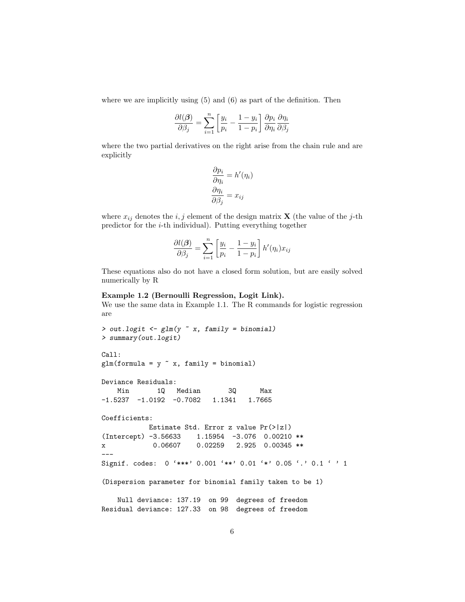where we are implicitly using  $(5)$  and  $(6)$  as part of the definition. Then

$$
\frac{\partial l(\boldsymbol{\beta})}{\partial \beta_j} = \sum_{i=1}^n \left[ \frac{y_i}{p_i} - \frac{1 - y_i}{1 - p_i} \right] \frac{\partial p_i}{\partial \eta_i} \frac{\partial \eta_i}{\partial \beta_j}
$$

where the two partial derivatives on the right arise from the chain rule and are explicitly

$$
\frac{\partial p_i}{\partial \eta_i} = h'(\eta_i)
$$

$$
\frac{\partial \eta_i}{\partial \beta_j} = x_{ij}
$$

where  $x_{ij}$  denotes the  $i, j$  element of the design matrix **X** (the value of the j-th predictor for the i-th individual). Putting everything together

$$
\frac{\partial l(\boldsymbol{\beta})}{\partial \beta_j} = \sum_{i=1}^n \left[ \frac{y_i}{p_i} - \frac{1 - y_i}{1 - p_i} \right] h'(\eta_i) x_{ij}
$$

These equations also do not have a closed form solution, but are easily solved numerically by R

### Example 1.2 (Bernoulli Regression, Logit Link).

We use the same data in Example 1.1. The R commands for logistic regression are

```
> out.logit <- glm(y ~ x, family = binomial)
> summary(out.logit)
Call:
glm(formula = y x, family = binomial)Deviance Residuals:
   Min 1Q Median 3Q Max
-1.5237 -1.0192 -0.7082 1.1341 1.7665
Coefficients:
          Estimate Std. Error z value Pr(>|z|)
(Intercept) -3.56633 1.15954 -3.076 0.00210 **
x 0.06607 0.02259 2.925 0.00345 **
---
Signif. codes: 0 '***' 0.001 '**' 0.01 '*' 0.05 '.' 0.1 ' ' 1
(Dispersion parameter for binomial family taken to be 1)
   Null deviance: 137.19 on 99 degrees of freedom
Residual deviance: 127.33 on 98 degrees of freedom
```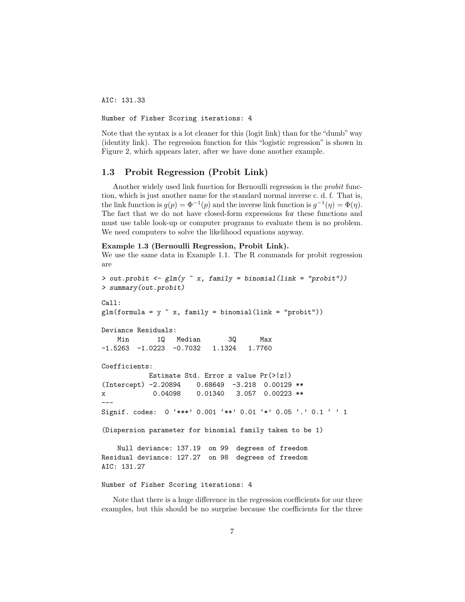AIC: 131.33

Number of Fisher Scoring iterations: 4

Note that the syntax is a lot cleaner for this (logit link) than for the "dumb" way (identity link). The regression function for this "logistic regression" is shown in Figure 2, which appears later, after we have done another example.

### 1.3 Probit Regression (Probit Link)

Another widely used link function for Bernoulli regression is the probit function, which is just another name for the standard normal inverse c. d. f. That is, the link function is  $g(p) = \Phi^{-1}(p)$  and the inverse link function is  $g^{-1}(\eta) = \Phi(\eta)$ . The fact that we do not have closed-form expressions for these functions and must use table look-up or computer programs to evaluate them is no problem. We need computers to solve the likelihood equations anyway.

#### Example 1.3 (Bernoulli Regression, Probit Link).

We use the same data in Example 1.1. The R commands for probit regression are

```
> out.probit <- glm(y ~ x, family = binomial(link = "probit"))
> summary(out.probit)
Call:
glm(formula = y x, family = binomial(link = "probit"))Deviance Residuals:
   Min 1Q Median 3Q Max
-1.5263 -1.0223 -0.7032 1.1324 1.7760
Coefficients:
           Estimate Std. Error z value Pr(>|z|)
(Intercept) -2.20894 0.68649 -3.218 0.00129 **
x 0.04098 0.01340 3.057 0.00223 **
---
Signif. codes: 0 '***' 0.001 '**' 0.01 '*' 0.05 '.' 0.1 ' ' 1
(Dispersion parameter for binomial family taken to be 1)
   Null deviance: 137.19 on 99 degrees of freedom
Residual deviance: 127.27 on 98 degrees of freedom
AIC: 131.27
```
### Number of Fisher Scoring iterations: 4

Note that there is a huge difference in the regression coefficients for our three examples, but this should be no surprise because the coefficients for the three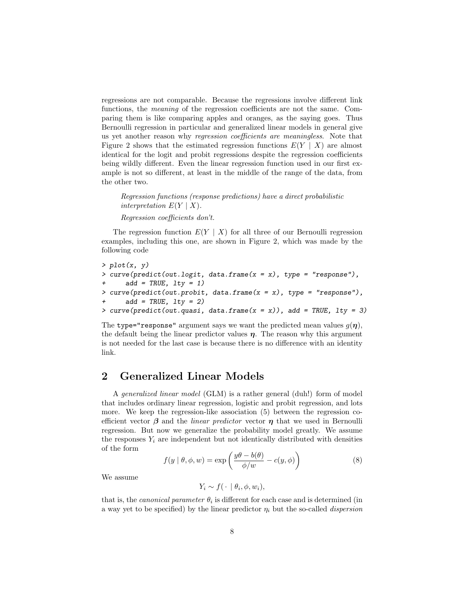regressions are not comparable. Because the regressions involve different link functions, the meaning of the regression coefficients are not the same. Comparing them is like comparing apples and oranges, as the saying goes. Thus Bernoulli regression in particular and generalized linear models in general give us yet another reason why regression coefficients are meaningless. Note that Figure 2 shows that the estimated regression functions  $E(Y | X)$  are almost identical for the logit and probit regressions despite the regression coefficients being wildly different. Even the linear regression function used in our first example is not so different, at least in the middle of the range of the data, from the other two.

Regression functions (response predictions) have a direct probabilistic interpretation  $E(Y | X)$ . Regression coefficients don't.

The regression function  $E(Y \mid X)$  for all three of our Bernoulli regression examples, including this one, are shown in Figure 2, which was made by the following code

 $> plot(x, y)$ > curve(predict(out.logit, data.frame(x = x), type = "response"),  $add = TRUE, \; lty = 1)$ > curve(predict(out.probit, data.frame( $x = x$ ), type = "response"), +  $add = TRUE, \; lty = 2)$ > curve(predict(out.quasi, data.frame( $x = x$ )), add = TRUE, lty = 3)

The type="response" argument says we want the predicted mean values  $g(\eta)$ , the default being the linear predictor values  $\eta$ . The reason why this argument is not needed for the last case is because there is no difference with an identity link.

# 2 Generalized Linear Models

A generalized linear model (GLM) is a rather general (duh!) form of model that includes ordinary linear regression, logistic and probit regression, and lots more. We keep the regression-like association (5) between the regression coefficient vector  $\beta$  and the *linear predictor* vector  $\eta$  that we used in Bernoulli regression. But now we generalize the probability model greatly. We assume the responses  $Y_i$  are independent but not identically distributed with densities of the form

$$
f(y | \theta, \phi, w) = \exp\left(\frac{y\theta - b(\theta)}{\phi/w} - c(y, \phi)\right)
$$
 (8)

We assume

$$
Y_i \sim f(\cdot \mid \theta_i, \phi, w_i),
$$

that is, the *canonical parameter*  $\theta_i$  is different for each case and is determined (in a way yet to be specified) by the linear predictor  $\eta_i$  but the so-called *dispersion*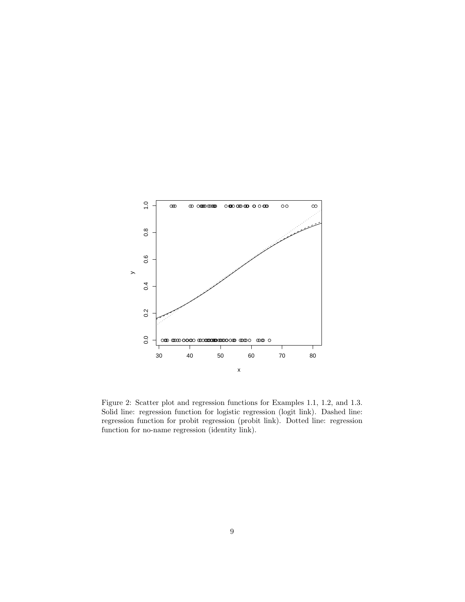

Figure 2: Scatter plot and regression functions for Examples 1.1, 1.2, and 1.3. Solid line: regression function for logistic regression (logit link). Dashed line: regression function for probit regression (probit link). Dotted line: regression function for no-name regression (identity link).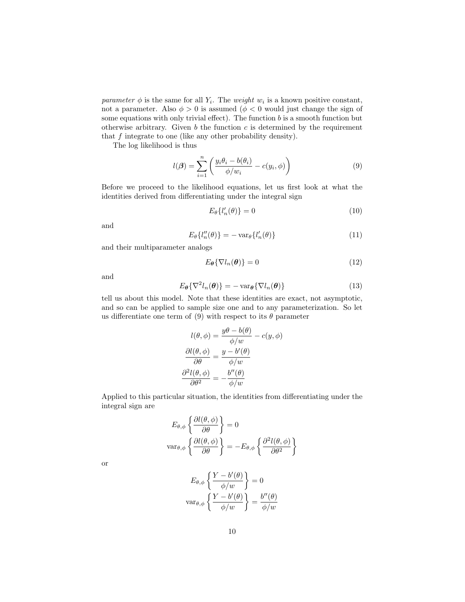parameter  $\phi$  is the same for all  $Y_i$ . The weight  $w_i$  is a known positive constant, not a parameter. Also  $\phi > 0$  is assumed  $(\phi < 0$  would just change the sign of some equations with only trivial effect). The function  $b$  is a smooth function but otherwise arbitrary. Given  $b$  the function  $c$  is determined by the requirement that f integrate to one (like any other probability density).

The log likelihood is thus

$$
l(\boldsymbol{\beta}) = \sum_{i=1}^{n} \left( \frac{y_i \theta_i - b(\theta_i)}{\phi/w_i} - c(y_i, \phi) \right)
$$
(9)

Before we proceed to the likelihood equations, let us first look at what the identities derived from differentiating under the integral sign

$$
E_{\theta}\left\{l_{n}'(\theta)\right\} = 0\tag{10}
$$

and

$$
E_{\theta}\{l''_{n}(\theta)\} = -\operatorname{var}_{\theta}\{l'_{n}(\theta)\}\tag{11}
$$

and their multiparameter analogs

$$
E_{\theta} \{ \nabla l_n(\theta) \} = 0 \tag{12}
$$

and

$$
E_{\theta} \{ \nabla^2 l_n(\theta) \} = - \operatorname{var}_{\theta} \{ \nabla l_n(\theta) \}
$$
 (13)

tell us about this model. Note that these identities are exact, not asymptotic, and so can be applied to sample size one and to any parameterization. So let us differentiate one term of (9) with respect to its  $\theta$  parameter

$$
l(\theta, \phi) = \frac{y\theta - b(\theta)}{\phi/w} - c(y, \phi)
$$

$$
\frac{\partial l(\theta, \phi)}{\partial \theta} = \frac{y - b'(\theta)}{\phi/w}
$$

$$
\frac{\partial^2 l(\theta, \phi)}{\partial \theta^2} = -\frac{b''(\theta)}{\phi/w}
$$

Applied to this particular situation, the identities from differentiating under the integral sign are

$$
E_{\theta,\phi} \left\{ \frac{\partial l(\theta,\phi)}{\partial \theta} \right\} = 0
$$
  
var <sub>$\theta,\phi$</sub>   $\left\{ \frac{\partial l(\theta,\phi)}{\partial \theta} \right\} = -E_{\theta,\phi} \left\{ \frac{\partial^2 l(\theta,\phi)}{\partial \theta^2} \right\}$ 

or

$$
E_{\theta,\phi} \left\{ \frac{Y - b'(\theta)}{\phi/w} \right\} = 0
$$
  
 
$$
\text{var}_{\theta,\phi} \left\{ \frac{Y - b'(\theta)}{\phi/w} \right\} = \frac{b''(\theta)}{\phi/w}
$$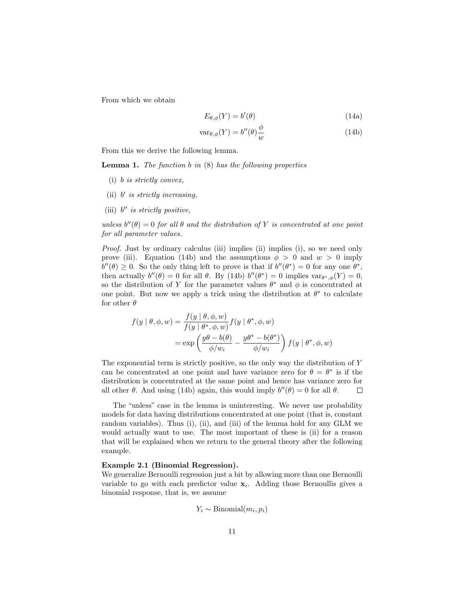From which we obtain

$$
E_{\theta,\phi}(Y) = b'(\theta) \tag{14a}
$$

$$
var_{\theta,\phi}(Y) = b''(\theta)\frac{\phi}{w}
$$
 (14b)

From this we derive the following lemma.

**Lemma 1.** The function  $b$  in  $(8)$  has the following properties

- (i) b is strictly convex,
- (ii)  $b'$  is strictly increasing,
- (iii)  $b''$  is strictly positive,

unless  $b''(\theta) = 0$  for all  $\theta$  and the distribution of Y is concentrated at one point for all parameter values.

*Proof.* Just by ordinary calculus (iii) implies (ii) implies (i), so we need only prove (iii). Equation (14b) and the assumptions  $\phi > 0$  and  $w > 0$  imply  $b''(\theta) \geq 0$ . So the only thing left to prove is that if  $b''(\theta^*) = 0$  for any one  $\theta^*$ , then actually  $b''(\theta) = 0$  for all  $\theta$ . By (14b)  $b''(\theta^*) = 0$  implies  $var_{\theta^*,\phi}(Y) = 0$ , so the distribution of Y for the parameter values  $\theta^*$  and  $\phi$  is concentrated at one point. But now we apply a trick using the distribution at  $\theta^*$  to calculate for other  $\theta$ 

$$
f(y | \theta, \phi, w) = \frac{f(y | \theta, \phi, w)}{f(y | \theta^*, \phi, w)} f(y | \theta^*, \phi, w)
$$
  
= 
$$
\exp\left(\frac{y\theta - b(\theta)}{\phi/w_i} - \frac{y\theta^* - b(\theta^*)}{\phi/w_i}\right) f(y | \theta^*, \phi, w)
$$

The exponential term is strictly positive, so the only way the distribution of  $Y$ can be concentrated at one point and have variance zero for  $\theta = \theta^*$  is if the distribution is concentrated at the same point and hence has variance zero for all other  $\theta$ . And using (14b) again, this would imply  $b''(\theta) = 0$  for all  $\theta$ .  $\Box$ 

The "unless" case in the lemma is uninteresting. We never use probability models for data having distributions concentrated at one point (that is, constant random variables). Thus (i), (ii), and (iii) of the lemma hold for any GLM we would actually want to use. The most important of these is (ii) for a reason that will be explained when we return to the general theory after the following example.

#### Example 2.1 (Binomial Regression).

We generalize Bernoulli regression just a bit by allowing more than one Bernoulli variable to go with each predictor value  $x_i$ . Adding those Bernoullis gives a binomial response, that is, we assume

$$
Y_i \sim \text{Binomial}(m_i, p_i)
$$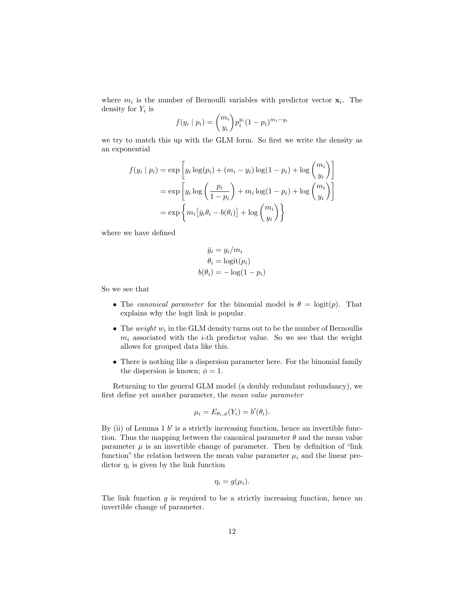where  $m_i$  is the number of Bernoulli variables with predictor vector  $\mathbf{x}_i$ . The density for  $Y_i$  is

$$
f(y_i | p_i) = {m_i \choose y_i} p_i^{y_i} (1-p_i)^{m_i - y_i}
$$

we try to match this up with the GLM form. So first we write the density as an exponential

$$
f(y_i | p_i) = \exp\left[y_i \log(p_i) + (m_i - y_i) \log(1 - p_i) + \log\binom{m_i}{y_i}\right]
$$

$$
= \exp\left[y_i \log\left(\frac{p_i}{1 - p_i}\right) + m_i \log(1 - p_i) + \log\binom{m_i}{y_i}\right]
$$

$$
= \exp\left\{m_i\left[\bar{y}_i\theta_i - b(\theta_i)\right] + \log\binom{m_i}{y_i}\right\}
$$

where we have defined

$$
\bar{y}_i = y_i/m_i
$$

$$
\theta_i = \text{logit}(p_i)
$$

$$
b(\theta_i) = -\log(1 - p_i)
$$

So we see that

- The canonical parameter for the binomial model is  $\theta = \text{logit}(p)$ . That explains why the logit link is popular.
- The weight  $w_i$  in the GLM density turns out to be the number of Bernoullis  $m_i$  associated with the *i*-th predictor value. So we see that the weight allows for grouped data like this.
- There is nothing like a dispersion parameter here. For the binomial family the dispersion is known;  $\phi = 1$ .

Returning to the general GLM model (a doubly redundant redundancy), we first define yet another parameter, the mean value parameter

$$
\mu_i = E_{\theta_i, \phi}(Y_i) = b'(\theta_i).
$$

By (ii) of Lemma  $1 \, b'$  is a strictly increasing function, hence an invertible function. Thus the mapping between the canonical parameter  $\theta$  and the mean value parameter  $\mu$  is an invertible change of parameter. Then by definition of "link" function" the relation between the mean value parameter  $\mu_i$  and the linear predictor  $\eta_i$  is given by the link function

$$
\eta_i = g(\mu_i).
$$

The link function  $g$  is required to be a strictly increasing function, hence an invertible change of parameter.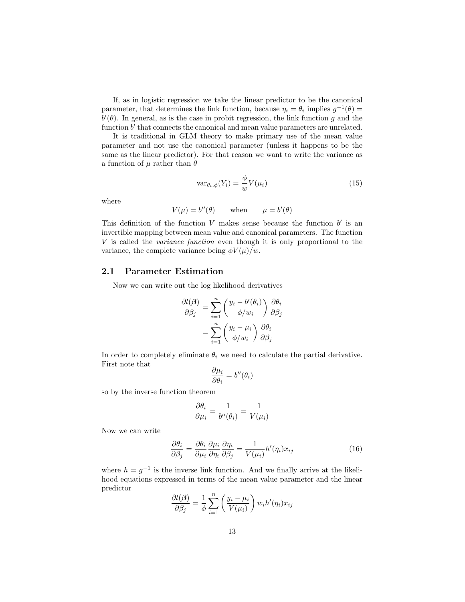If, as in logistic regression we take the linear predictor to be the canonical parameter, that determines the link function, because  $\eta_i = \theta_i$  implies  $g^{-1}(\theta) =$  $b'(\theta)$ . In general, as is the case in probit regression, the link function g and the function  $b'$  that connects the canonical and mean value parameters are unrelated.

It is traditional in GLM theory to make primary use of the mean value parameter and not use the canonical parameter (unless it happens to be the same as the linear predictor). For that reason we want to write the variance as a function of  $\mu$  rather than  $\theta$ 

$$
var_{\theta_i, \phi}(Y_i) = \frac{\phi}{w} V(\mu_i)
$$
\n(15)

where

$$
V(\mu) = b''(\theta) \qquad \text{when} \qquad \mu = b'(\theta)
$$

This definition of the function  $V$  makes sense because the function  $b'$  is an invertible mapping between mean value and canonical parameters. The function V is called the variance function even though it is only proportional to the variance, the complete variance being  $\phi V(\mu)/w$ .

# 2.1 Parameter Estimation

Now we can write out the log likelihood derivatives

$$
\frac{\partial l(\boldsymbol{\beta})}{\partial \beta_j} = \sum_{i=1}^n \left( \frac{y_i - b'(\theta_i)}{\phi/w_i} \right) \frac{\partial \theta_i}{\partial \beta_j}
$$

$$
= \sum_{i=1}^n \left( \frac{y_i - \mu_i}{\phi/w_i} \right) \frac{\partial \theta_i}{\partial \beta_j}
$$

In order to completely eliminate  $\theta_i$  we need to calculate the partial derivative. First note that

$$
\frac{\partial \mu_i}{\partial \theta_i} = b''(\theta_i)
$$

so by the inverse function theorem

$$
\frac{\partial \theta_i}{\partial \mu_i} = \frac{1}{b''(\theta_i)} = \frac{1}{V(\mu_i)}
$$

Now we can write

$$
\frac{\partial \theta_i}{\partial \beta_j} = \frac{\partial \theta_i}{\partial \mu_i} \frac{\partial \mu_i}{\partial \eta_i} \frac{\partial \eta_i}{\partial \beta_j} = \frac{1}{V(\mu_i)} h'(\eta_i) x_{ij}
$$
(16)

where  $h = g^{-1}$  is the inverse link function. And we finally arrive at the likelihood equations expressed in terms of the mean value parameter and the linear predictor

$$
\frac{\partial l(\boldsymbol{\beta})}{\partial \beta_j} = \frac{1}{\phi} \sum_{i=1}^n \left( \frac{y_i - \mu_i}{V(\mu_i)} \right) w_i h'(\eta_i) x_{ij}
$$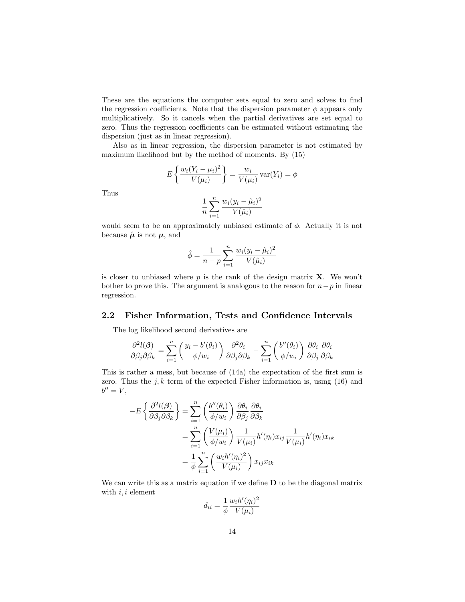These are the equations the computer sets equal to zero and solves to find the regression coefficients. Note that the dispersion parameter  $\phi$  appears only multiplicatively. So it cancels when the partial derivatives are set equal to zero. Thus the regression coefficients can be estimated without estimating the dispersion (just as in linear regression).

Also as in linear regression, the dispersion parameter is not estimated by maximum likelihood but by the method of moments. By (15)

$$
E\left\{\frac{w_i(Y_i - \mu_i)^2}{V(\mu_i)}\right\} = \frac{w_i}{V(\mu_i)} \operatorname{var}(Y_i) = \phi
$$

Thus

$$
\frac{1}{n}\sum_{i=1}^{n}\frac{w_i(y_i-\hat{\mu}_i)^2}{V(\hat{\mu}_i)}
$$

would seem to be an approximately unbiased estimate of  $\phi$ . Actually it is not because  $\hat{\mu}$  is not  $\mu$ , and

$$
\hat{\phi} = \frac{1}{n-p} \sum_{i=1}^{n} \frac{w_i (y_i - \hat{\mu}_i)^2}{V(\hat{\mu}_i)}
$$

is closer to unbiased where p is the rank of the design matrix  $X$ . We won't bother to prove this. The argument is analogous to the reason for  $n-p$  in linear regression.

### 2.2 Fisher Information, Tests and Confidence Intervals

The log likelihood second derivatives are

$$
\frac{\partial^2 l(\boldsymbol{\beta})}{\partial \beta_j \partial \beta_k} = \sum_{i=1}^n \left(\frac{y_i - b'(\theta_i)}{\phi/w_i}\right) \frac{\partial^2 \theta_i}{\partial \beta_j \partial \beta_k} - \sum_{i=1}^n \left(\frac{b''(\theta_i)}{\phi/w_i}\right) \frac{\partial \theta_i}{\partial \beta_j} \frac{\partial \theta_i}{\partial \beta_k}
$$

This is rather a mess, but because of (14a) the expectation of the first sum is zero. Thus the  $j, k$  term of the expected Fisher information is, using (16) and  $b'' = V$ ,

$$
-E\left\{\frac{\partial^2 l(\boldsymbol{\beta})}{\partial \beta_j \partial \beta_k}\right\} = \sum_{i=1}^n \left(\frac{b''(\theta_i)}{\phi/w_i}\right) \frac{\partial \theta_i}{\partial \beta_j} \frac{\partial \theta_i}{\partial \beta_k}
$$
  

$$
= \sum_{i=1}^n \left(\frac{V(\mu_i)}{\phi/w_i}\right) \frac{1}{V(\mu_i)} h'(\eta_i) x_{ij} \frac{1}{V(\mu_i)} h'(\eta_i) x_{ik}
$$
  

$$
= \frac{1}{\phi} \sum_{i=1}^n \left(\frac{w_i h'(\eta_i)^2}{V(\mu_i)}\right) x_{ij} x_{ik}
$$

We can write this as a matrix equation if we define  $D$  to be the diagonal matrix with  $i, i$  element

$$
d_{ii} = \frac{1}{\phi} \frac{w_i h'(\eta_i)^2}{V(\mu_i)}
$$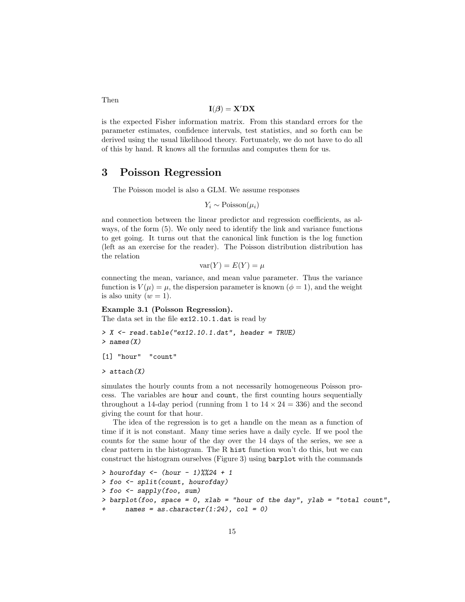$$
\mathbf{I}(\boldsymbol{\beta}) = \mathbf{X}' \mathbf{D} \mathbf{X}
$$

is the expected Fisher information matrix. From this standard errors for the parameter estimates, confidence intervals, test statistics, and so forth can be derived using the usual likelihood theory. Fortunately, we do not have to do all of this by hand. R knows all the formulas and computes them for us.

# 3 Poisson Regression

The Poisson model is also a GLM. We assume responses

$$
Y_i \sim \text{Poisson}(\mu_i)
$$

and connection between the linear predictor and regression coefficients, as always, of the form (5). We only need to identify the link and variance functions to get going. It turns out that the canonical link function is the log function (left as an exercise for the reader). The Poisson distribution distribution has the relation

$$
\text{var}(Y) = E(Y) = \mu
$$

connecting the mean, variance, and mean value parameter. Thus the variance function is  $V(\mu) = \mu$ , the dispersion parameter is known ( $\phi = 1$ ), and the weight is also unity  $(w = 1)$ .

#### Example 3.1 (Poisson Regression).

The data set in the file ex12.10.1.dat is read by

```
> X <- read.table("ex12.10.1.dat", header = TRUE)
> names(X)
```
[1] "hour" "count"

> attach(X)

simulates the hourly counts from a not necessarily homogeneous Poisson process. The variables are hour and count, the first counting hours sequentially throughout a 14-day period (running from 1 to  $14 \times 24 = 336$ ) and the second giving the count for that hour.

The idea of the regression is to get a handle on the mean as a function of time if it is not constant. Many time series have a daily cycle. If we pool the counts for the same hour of the day over the 14 days of the series, we see a clear pattern in the histogram. The R hist function won't do this, but we can construct the histogram ourselves (Figure 3) using barplot with the commands

```
> hourofday <- (hour - 1) \% 24 + 1> foo <- split(count, hourofday)
> foo \leq sapply(foo, sum)
> barplot(foo, space = 0, xlab = "hour of the day", ylab = "total count",
      names = as.charAtacter(1:24), col = 0)
```
Then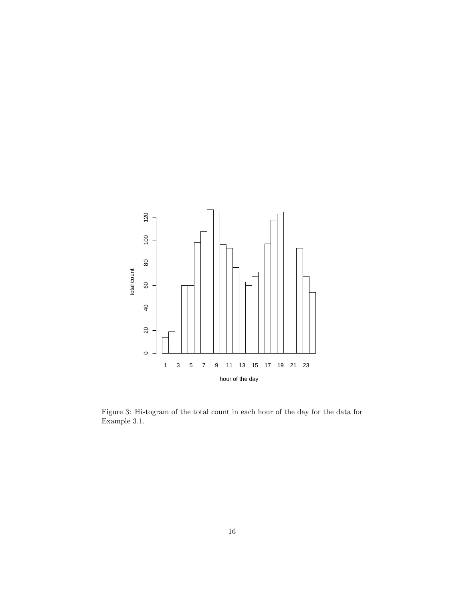

Figure 3: Histogram of the total count in each hour of the day for the data for Example 3.1.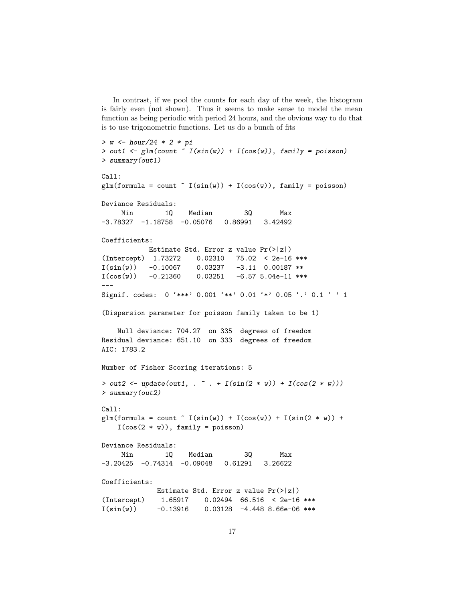In contrast, if we pool the counts for each day of the week, the histogram is fairly even (not shown). Thus it seems to make sense to model the mean function as being periodic with period 24 hours, and the obvious way to do that is to use trigonometric functions. Let us do a bunch of fits

```
> w <- hour/24 * 2 * pi
> out1 <- glm(count \tilde{f} I(sin(w)) + I(cos(w)), family = poisson)
> summary(out1)
Call:
glm(formula = count " I(sin(w)) + I(cos(w)), family = poisson)Deviance Residuals:
    Min 1Q Median 3Q Max
-3.78327 -1.18758 -0.05076 0.86991 3.42492
Coefficients:
           Estimate Std. Error z value Pr(>|z|)
(Intercept) 1.73272 0.02310 75.02 < 2e-16 ***
I(sin(w)) -0.10067 0.03237 -3.11 0.00187 **
I(cos(w)) -0.21360 0.03251 -6.57 5.04e-11 ***
---
Signif. codes: 0 '***' 0.001 '**' 0.01 '*' 0.05 '.' 0.1 ' ' 1
(Dispersion parameter for poisson family taken to be 1)
   Null deviance: 704.27 on 335 degrees of freedom
Residual deviance: 651.10 on 333 degrees of freedom
AIC: 1783.2
Number of Fisher Scoring iterations: 5
> out2 <- update(out1, . \tilde{ } . + I(sin(2 * w)) + I(cos(2 * w)))
> summary(out2)
Call:
glm(formula = count " I(sin(w)) + I(cos(w)) + I(sin(2*w)) +I(cos(2 * w)), family = poisson)
Deviance Residuals:
    Min 1Q Median 3Q Max
-3.20425 -0.74314 -0.09048 0.61291 3.26622
Coefficients:
            Estimate Std. Error z value Pr(>|z|)
(Intercept) 1.65917 0.02494 66.516 < 2e-16 ***
I(sin(w)) -0.13916 0.03128 -4.448 8.66e-06 ***
```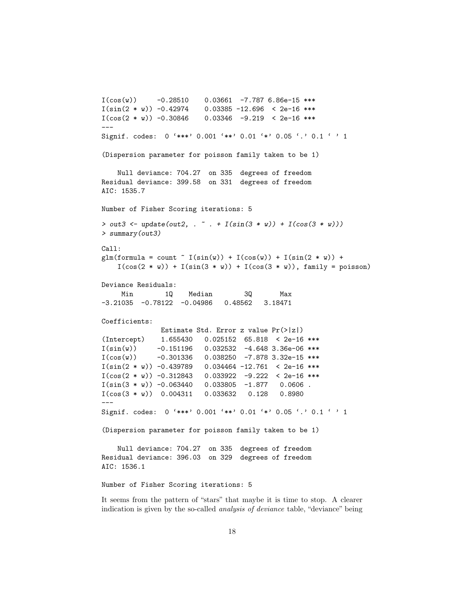```
I(cos(w)) -0.28510 0.03661 -7.787 6.86e-15 ***
I(\sin(2 * w)) -0.42974 0.03385 -12.696 < 2e-16 ***
I(cos(2 * w)) -0.30846 -0.03346 -9.219 < 2e-16***
---
Signif. codes: 0 '***' 0.001 '**' 0.01 '*' 0.05 '.' 0.1 ' ' 1
(Dispersion parameter for poisson family taken to be 1)
   Null deviance: 704.27 on 335 degrees of freedom
Residual deviance: 399.58 on 331 degrees of freedom
AIC: 1535.7
Number of Fisher Scoring iterations: 5
> out3 <- update(out2, . \tilde{ } . + I(sin(3 * w)) + I(cos(3 * w)))
> summary(out3)
Call:
\text{glm}(formula = count ~ I(sin(w)) + I(cos(w)) + I(sin(2 * w)) +
   I(cos(2 * w)) + I(sin(3 * w)) + I(cos(3 * w)), family = poisson)Deviance Residuals:
    Min 1Q Median 3Q Max
-3.21035 -0.78122 -0.04986 0.48562 3.18471
Coefficients:
              Estimate Std. Error z value Pr(>|z|)
(Intercept) 1.655430 0.025152 65.818 < 2e-16 ***
I(sin(w)) -0.151196 0.032532 -4.648 3.36e-06 ***
I(cos(w)) -0.301336 0.038250 -7.878 3.32e-15 ***
I(\sin(2 * w)) -0.439789 0.034464 -12.761 < 2e-16 ***
I(cos(2 * w)) -0.312843 -0.033922 -9.222 < 2e-16***
I(sin(3 * w)) -0.063440 0.033805 -1.877 0.0606.
I(cos(3 * w)) 0.004311 0.033632 0.128 0.8980
---
Signif. codes: 0 '***' 0.001 '**' 0.01 '*' 0.05 '.' 0.1 ' ' 1
(Dispersion parameter for poisson family taken to be 1)
   Null deviance: 704.27 on 335 degrees of freedom
Residual deviance: 396.03 on 329 degrees of freedom
AIC: 1536.1
Number of Fisher Scoring iterations: 5
```
It seems from the pattern of "stars" that maybe it is time to stop. A clearer indication is given by the so-called analysis of deviance table, "deviance" being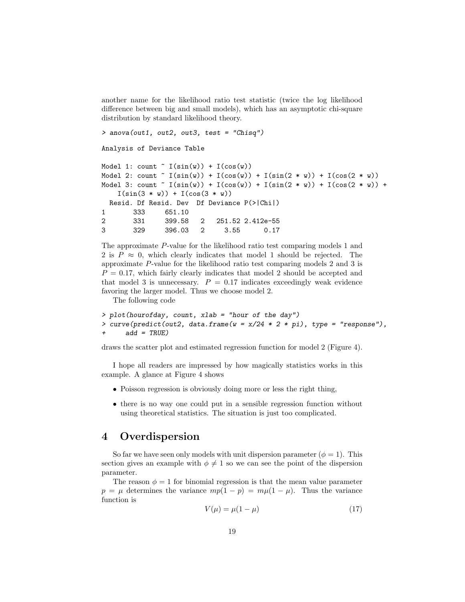another name for the likelihood ratio test statistic (twice the log likelihood difference between big and small models), which has an asymptotic chi-square distribution by standard likelihood theory.

```
> anova(out1, out2, out3, test = "Chisq")
Analysis of Deviance Table
Model 1: count I(sin(w)) + I(cos(w))Model 2: count \tilde{f}(sin(w)) + I(cos(w)) + I(sin(2*w)) + I(cos(2*w))Model 3: count \tilde{ } I(sin(w)) + I(cos(w)) + I(sin(2 * w)) + I(cos(2 * w)) +
   I(sin(3 * w)) + I(cos(3 * w))Resid. Df Resid. Dev Df Deviance P(>|Chi|)
1 333 651.10
2 331 399.58 2 251.52 2.412e-55
3 329 396.03 2 3.55 0.17
```
The approximate P-value for the likelihood ratio test comparing models 1 and 2 is  $P \approx 0$ , which clearly indicates that model 1 should be rejected. The approximate P-value for the likelihood ratio test comparing models 2 and 3 is  $P = 0.17$ , which fairly clearly indicates that model 2 should be accepted and that model 3 is unnecessary.  $P = 0.17$  indicates exceedingly weak evidence favoring the larger model. Thus we choose model 2.

The following code

```
> plot(hourofday, count, xlab = "hour of the day")
> curve(predict(out2, data.frame(w = x/24 * 2 * pi), type = "response"),
      add = TRUE)
```
draws the scatter plot and estimated regression function for model 2 (Figure 4).

I hope all readers are impressed by how magically statistics works in this example. A glance at Figure 4 shows

- Poisson regression is obviously doing more or less the right thing,
- there is no way one could put in a sensible regression function without using theoretical statistics. The situation is just too complicated.

# 4 Overdispersion

So far we have seen only models with unit dispersion parameter  $(\phi = 1)$ . This section gives an example with  $\phi \neq 1$  so we can see the point of the dispersion parameter.

The reason  $\phi = 1$  for binomial regression is that the mean value parameter  $p = \mu$  determines the variance  $mp(1 - p) = m\mu(1 - \mu)$ . Thus the variance function is

$$
V(\mu) = \mu(1 - \mu) \tag{17}
$$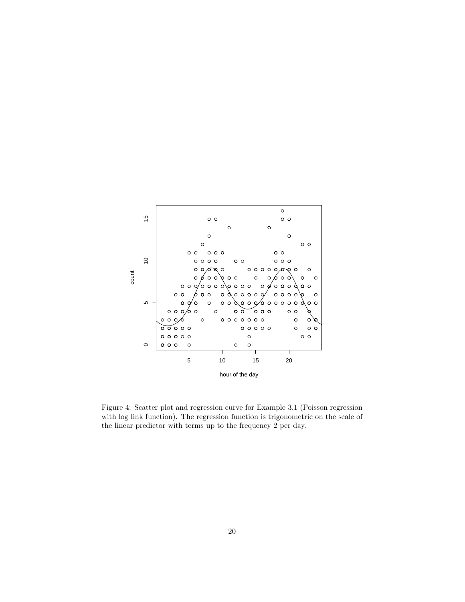

Figure 4: Scatter plot and regression curve for Example 3.1 (Poisson regression with log link function). The regression function is trigonometric on the scale of the linear predictor with terms up to the frequency 2 per day.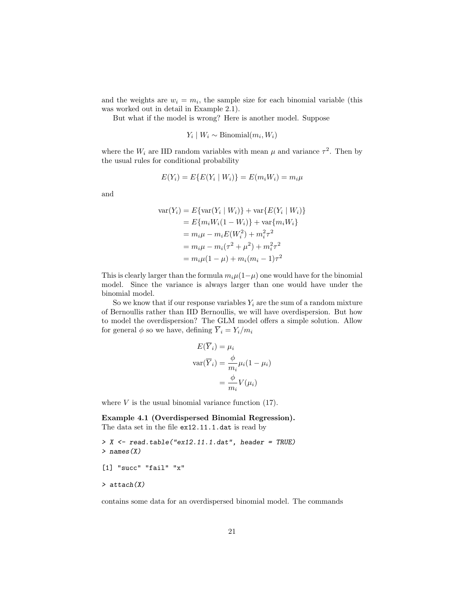and the weights are  $w_i = m_i$ , the sample size for each binomial variable (this was worked out in detail in Example 2.1).

But what if the model is wrong? Here is another model. Suppose

$$
Y_i \mid W_i \sim \text{Binomial}(m_i, W_i)
$$

where the  $W_i$  are IID random variables with mean  $\mu$  and variance  $\tau^2$ . Then by the usual rules for conditional probability

$$
E(Y_i) = E\{E(Y_i \mid W_i)\} = E(m_i W_i) = m_i \mu
$$

and

$$
\begin{aligned} \text{var}(Y_i) &= E\{\text{var}(Y_i \mid W_i)\} + \text{var}\{E(Y_i \mid W_i)\} \\ &= E\{m_i W_i (1 - W_i)\} + \text{var}\{m_i W_i\} \\ &= m_i \mu - m_i E(W_i^2) + m_i^2 \tau^2 \\ &= m_i \mu - m_i (\tau^2 + \mu^2) + m_i^2 \tau^2 \\ &= m_i \mu (1 - \mu) + m_i (m_i - 1) \tau^2 \end{aligned}
$$

This is clearly larger than the formula  $m_i\mu(1-\mu)$  one would have for the binomial model. Since the variance is always larger than one would have under the binomial model.

So we know that if our response variables  $Y_i$  are the sum of a random mixture of Bernoullis rather than IID Bernoullis, we will have overdispersion. But how to model the overdispersion? The GLM model offers a simple solution. Allow for general  $\phi$  so we have, defining  $\overline{Y}_i = Y_i/m_i$ 

$$
E(\overline{Y}_i) = \mu_i
$$
  
 
$$
var(\overline{Y}_i) = \frac{\phi}{m_i} \mu_i (1 - \mu_i)
$$
  

$$
= \frac{\phi}{m_i} V(\mu_i)
$$

where  $V$  is the usual binomial variance function  $(17)$ .

Example 4.1 (Overdispersed Binomial Regression). The data set in the file ex12.11.1.dat is read by

```
> X \le read.table("ex12.11.1.dat", header = TRUE)
> names(X)
[1] "succ" "fail" "x"
> attach(X)
```
contains some data for an overdispersed binomial model. The commands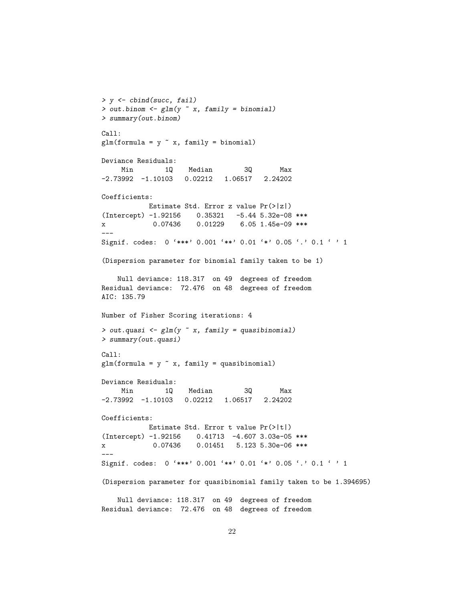```
> y <- cbind(succ, fail)
> out.binom \leq glm(y \in x, family = binomial)
> summary(out.binom)
Call:
glm(formula = y \tilde{x}, family = binomial)Deviance Residuals:
    Min 1Q Median 3Q Max
-2.73992 -1.10103 0.02212 1.06517 2.24202
Coefficients:
          Estimate Std. Error z value Pr(>|z|)
(Intercept) -1.92156 0.35321 -5.44 5.32e-08 ***
x 0.07436 0.01229 6.05 1.45e-09 ***
---
Signif. codes: 0 '***' 0.001 '**' 0.01 '*' 0.05 '.' 0.1 ' ' 1
(Dispersion parameter for binomial family taken to be 1)
   Null deviance: 118.317 on 49 degrees of freedom
Residual deviance: 72.476 on 48 degrees of freedom
AIC: 135.79
Number of Fisher Scoring iterations: 4
> out.quasi \leq glm(y \in x, family = quasibinomial)
> summary(out.quasi)
Call:
glm(formula = y \text{ x}, family = quasibinomial)Deviance Residuals:
    Min 1Q Median 3Q Max
-2.73992 -1.10103 0.02212 1.06517 2.24202
Coefficients:
          Estimate Std. Error t value Pr(>|t|)
(Intercept) -1.92156 0.41713 -4.607 3.03e-05 ***
x 0.07436 0.01451 5.123 5.30e-06 ***
---
Signif. codes: 0 '***' 0.001 '**' 0.01 '*' 0.05 '.' 0.1 ' ' 1
(Dispersion parameter for quasibinomial family taken to be 1.394695)
   Null deviance: 118.317 on 49 degrees of freedom
Residual deviance: 72.476 on 48 degrees of freedom
```